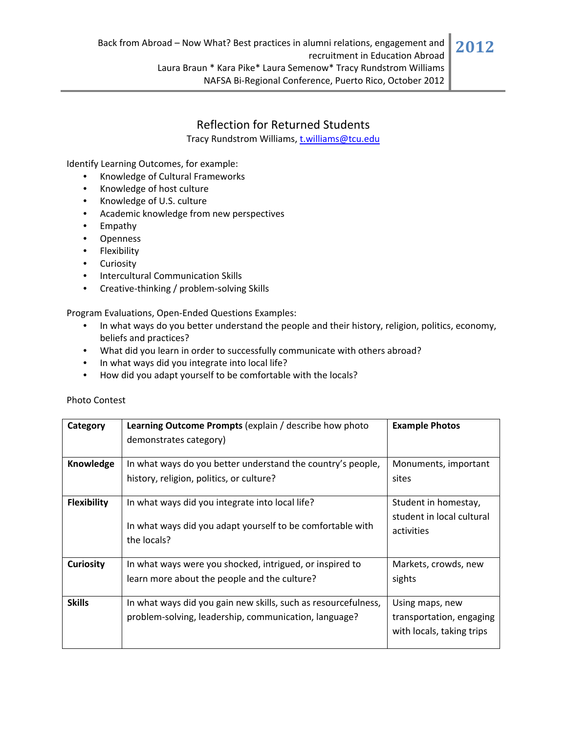Tracy Rundstrom Williams, t.williams@tcu.edu

Identify Learning Outcomes, for example:

- Knowledge of Cultural Frameworks
- Knowledge of host culture
- Knowledge of U.S. culture
- Academic knowledge from new perspectives
- Empathy
- Openness
- Flexibility
- Curiosity
- Intercultural Communication Skills
- Creative-thinking / problem-solving Skills

Program Evaluations, Open‐Ended Questions Examples:

- In what ways do you better understand the people and their history, religion, politics, economy, beliefs and practices?
- What did you learn in order to successfully communicate with others abroad?
- In what ways did you integrate into local life?
- How did you adapt yourself to be comfortable with the locals?

|  | <b>Photo Contest</b> |
|--|----------------------|
|--|----------------------|

| Category           | <b>Learning Outcome Prompts (explain / describe how photo</b><br>demonstrates category)                                      | <b>Example Photos</b>                                                    |
|--------------------|------------------------------------------------------------------------------------------------------------------------------|--------------------------------------------------------------------------|
| Knowledge          | In what ways do you better understand the country's people,<br>history, religion, politics, or culture?                      | Monuments, important<br>sites                                            |
| <b>Flexibility</b> | In what ways did you integrate into local life?<br>In what ways did you adapt yourself to be comfortable with<br>the locals? | Student in homestay,<br>student in local cultural<br>activities          |
| <b>Curiosity</b>   | In what ways were you shocked, intrigued, or inspired to<br>learn more about the people and the culture?                     | Markets, crowds, new<br>sights                                           |
| <b>Skills</b>      | In what ways did you gain new skills, such as resourcefulness,<br>problem-solving, leadership, communication, language?      | Using maps, new<br>transportation, engaging<br>with locals, taking trips |

**2012**